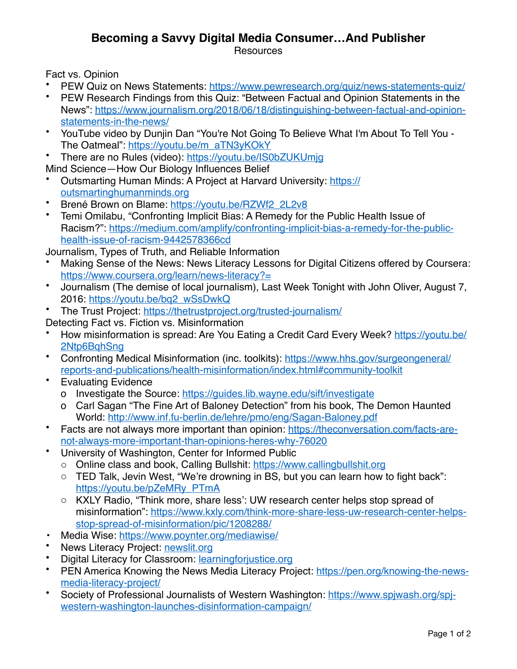## **Becoming a Savvy Digital Media Consumer…And Publisher**

**Resources** 

Fact vs. Opinion

- PEW Quiz on News Statements:<https://www.pewresearch.org/quiz/news-statements-quiz/>
- PEW Research Findings from this Quiz: "Between Factual and Opinion Statements in the [News": https://www.journalism.org/2018/06/18/distinguishing-between-factual-and-opinion](https://www.journalism.org/2018/06/18/distinguishing-between-factual-and-opinion-statements-in-the-news/)[statements-in-the-news/](https://www.journalism.org/2018/06/18/distinguishing-between-factual-and-opinion-statements-in-the-news/)
- YouTube video by Dunjin Dan "You're Not Going To Believe What I'm About To Tell You The Oatmeal": [https://youtu.be/m\\_aTN3yKOkY](https://youtu.be/m_aTN3yKOkY)
- There are no Rules (video):<https://youtu.be/IS0bZUKUmjg>
- Mind Science—How Our Biology Influences Belief
- Outsmarting Human Minds: A Project at Harvard University: [https://](https://outsmartinghumanminds.org) [outsmartinghumanminds.org](https://outsmartinghumanminds.org)
- Brené Brown on Blame: [https://youtu.be/RZWf2\\_2L2v8](https://youtu.be/RZWf2_2L2v8)
- Temi Omilabu, "Confronting Implicit Bias: A Remedy for the Public Health Issue of [Racism?": https://medium.com/amplify/confronting-implicit-bias-a-remedy-for-the-public](https://medium.com/amplify/confronting-implicit-bias-a-remedy-for-the-public-health-issue-of-racism-9442578366cd)[health-issue-of-racism-9442578366cd](https://medium.com/amplify/confronting-implicit-bias-a-remedy-for-the-public-health-issue-of-racism-9442578366cd)

Journalism, Types of Truth, and Reliable Information

- Making Sense of the News: News Literacy Lessons for Digital Citizens offered by Coursera: <https://www.coursera.org/learn/news-literacy?=>
- Journalism (The demise of local journalism), Last Week Tonight with John Oliver, August 7, 2016: [https://youtu.be/bq2\\_wSsDwkQ](https://youtu.be/bq2_wSsDwkQ)
- The Trust Project:<https://thetrustproject.org/trusted-journalism/>
- Detecting Fact vs. Fiction vs. Misinformation
- How misinformation is spread: Are You Eating a Credit Card Every Week? [https://youtu.be/](https://youtu.be/2Ntp6BqhSng) [2Ntp6BqhSng](https://youtu.be/2Ntp6BqhSng)
- [Confronting Medical Misinformation \(inc. toolkits\): https://www.hhs.gov/surgeongeneral/](https://www.hhs.gov/surgeongeneral/reports-and-publications/health-misinformation/index.html#community-toolkit) [reports-and-publications/health-misinformation/index.html#community-toolkit](https://www.hhs.gov/surgeongeneral/reports-and-publications/health-misinformation/index.html#community-toolkit)
- Evaluating Evidence
	- o Investigate the Source:<https://guides.lib.wayne.edu/sift/investigate>
	- o Carl Sagan "The Fine Art of Baloney Detection" from his book, The Demon Haunted World: <http://www.inf.fu-berlin.de/lehre/pmo/eng/Sagan-Baloney.pdf>
- [Facts are not always more important than opinion: https://theconversation.com/facts-are](https://theconversation.com/facts-are-not-always-more-important-than-opinions-heres-why-76020)[not-always-more-important-than-opinions-heres-why-76020](https://theconversation.com/facts-are-not-always-more-important-than-opinions-heres-why-76020)
- University of Washington, Center for Informed Public
	- o Online class and book, Calling Bullshit:<https://www.callingbullshit.org>
	- o TED Talk, Jevin West, "We're drowning in BS, but you can learn how to fight back": [https://youtu.be/pZeMRy\\_PTmA](https://youtu.be/pZeMRy_PTmA)
	- o KXLY Radio, "Think more, share less': UW research center helps stop spread of [misinformation": https://www.kxly.com/think-more-share-less-uw-research-center-helps](https://www.kxly.com/think-more-share-less-uw-research-center-helps-stop-spread-of-misinformation/pic/1208288/)[stop-spread-of-misinformation/pic/1208288/](https://www.kxly.com/think-more-share-less-uw-research-center-helps-stop-spread-of-misinformation/pic/1208288/)
- Media Wise:<https://www.poynter.org/mediawise/>
- News Literacy Project: [newslit.org](http://newslit.org)
- Digital Literacy for Classroom: [learningforjustice.org](http://learningforjustice.org)
- PEN America Knowing the News Media Literacy Project: [https://pen.org/knowing-the-news](https://pen.org/knowing-the-news-media-literacy-project/)[media-literacy-project/](https://pen.org/knowing-the-news-media-literacy-project/)
- Society of Professional Journalists of Western Washington: [https://www.spjwash.org/spj](https://www.spjwash.org/spj-western-washington-launches-disinformation-campaign/)[western-washington-launches-disinformation-campaign/](https://www.spjwash.org/spj-western-washington-launches-disinformation-campaign/)